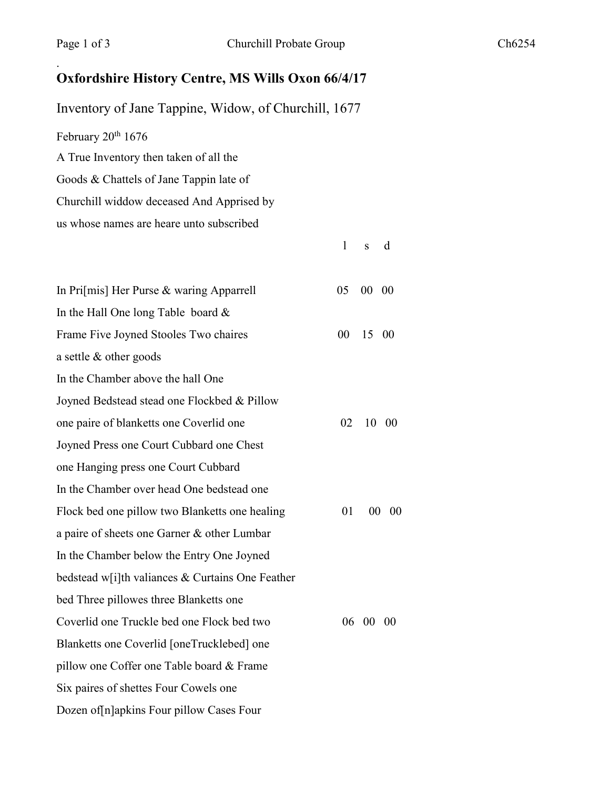.

l s d

## **Oxfordshire History Centre, MS Wills Oxon 66/4/17**

Inventory of Jane Tappine, Widow, of Churchill, 1677 February 20<sup>th</sup> 1676 A True Inventory then taken of all the Goods & Chattels of Jane Tappin late of Churchill widdow deceased And Apprised by us whose names are heare unto subscribed

| In Pri[mis] Her Purse & waring Apparrell         | 05 | $00\quad00$ |       |
|--------------------------------------------------|----|-------------|-------|
| In the Hall One long Table board $&$             |    |             |       |
| Frame Five Joyned Stooles Two chaires            | 00 | 15 00       |       |
| a settle $&$ other goods                         |    |             |       |
| In the Chamber above the hall One                |    |             |       |
| Joyned Bedstead stead one Flockbed & Pillow      |    |             |       |
| one paire of blanketts one Coverlid one          | 02 |             | 10 00 |
| Joyned Press one Court Cubbard one Chest         |    |             |       |
| one Hanging press one Court Cubbard              |    |             |       |
| In the Chamber over head One bedstead one        |    |             |       |
| Flock bed one pillow two Blanketts one healing   | 01 | $00\,$      | 00    |
| a paire of sheets one Garner & other Lumbar      |    |             |       |
| In the Chamber below the Entry One Joyned        |    |             |       |
| bedstead w[i]th valiances & Curtains One Feather |    |             |       |
| bed Three pillowes three Blanketts one           |    |             |       |
| Coverlid one Truckle bed one Flock bed two       |    | 06 00 00    |       |
| Blanketts one Coverlid [oneTrucklebed] one       |    |             |       |
| pillow one Coffer one Table board & Frame        |    |             |       |
| Six paires of shettes Four Cowels one            |    |             |       |
| Dozen of n apkins Four pillow Cases Four         |    |             |       |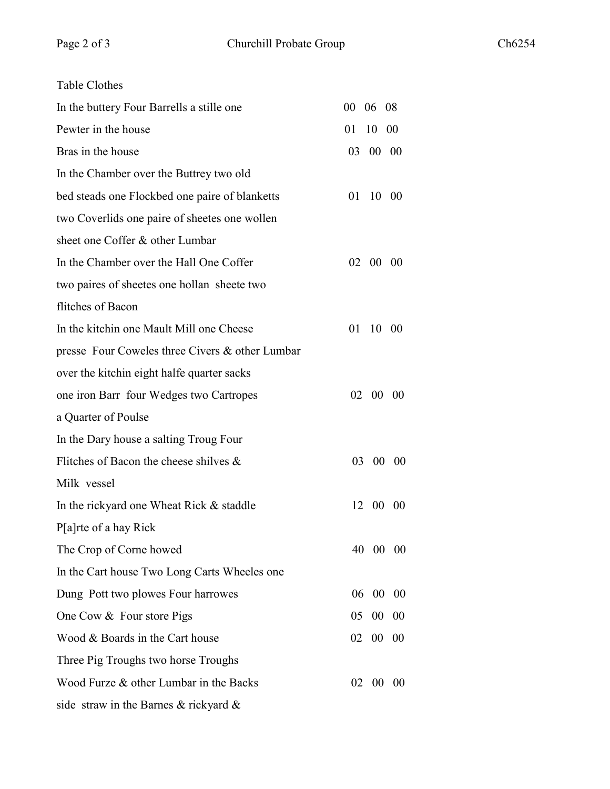| <b>Table Clothes</b>                            |                        |
|-------------------------------------------------|------------------------|
| In the buttery Four Barrells a stille one       | 06 08<br>00            |
| Pewter in the house                             | 01<br>10<br>00         |
| Bras in the house                               | 03 00 00               |
| In the Chamber over the Buttrey two old         |                        |
| bed steads one Flockbed one paire of blanketts  | 01<br>10 00            |
| two Coverlids one paire of sheetes one wollen   |                        |
| sheet one Coffer & other Lumbar                 |                        |
| In the Chamber over the Hall One Coffer         | 02 00 00               |
| two paires of sheetes one hollan sheete two     |                        |
| flitches of Bacon                               |                        |
| In the kitchin one Mault Mill one Cheese        | 01<br>10 00            |
| presse Four Coweles three Civers & other Lumbar |                        |
| over the kitchin eight halfe quarter sacks      |                        |
| one iron Barr four Wedges two Cartropes         | 02 00 00               |
| a Quarter of Poulse                             |                        |
| In the Dary house a salting Troug Four          |                        |
| Flitches of Bacon the cheese shilves $\&$       | 03<br>$00\ 00$         |
| Milk vessel                                     |                        |
| In the rickyard one Wheat Rick & staddle        | $00\,$<br>12<br>$00\,$ |
| P[a]rte of a hay Rick                           |                        |
| The Crop of Corne howed                         | 40<br>00<br>$00\,$     |
| In the Cart house Two Long Carts Wheeles one    |                        |
| Dung Pott two plowes Four harrowes              | 00<br>06<br>00         |
| One Cow & Four store Pigs                       | 05<br>00<br>00         |
| Wood & Boards in the Cart house                 | 02<br>$00\,$<br>00     |
| Three Pig Troughs two horse Troughs             |                        |
| Wood Furze & other Lumbar in the Backs          | 02<br>00<br>- 00       |
| side straw in the Barnes & rickyard $\&$        |                        |